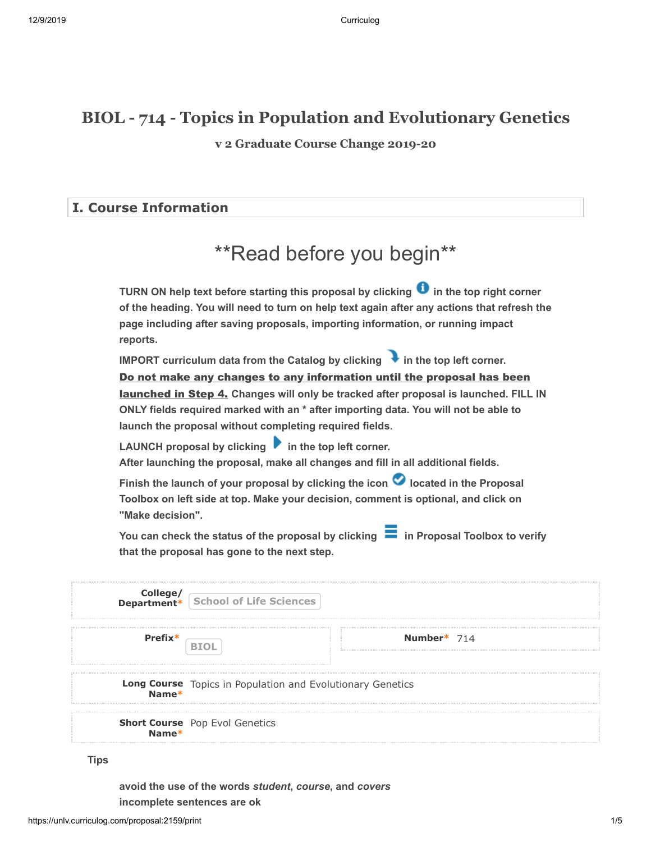## **BIOL - 714 - Topics in Population and Evolutionary Genetics**

**v 2 Graduate Course Change 2019-20**

#### **I. Course Information**

# \*\*Read before you begin\*\*

**TURN ON help text before starting this proposal by clicking**  $\bullet$  **in the top right corner of the heading. You will need to turn on help text again after any actions that refresh the page including after saving proposals, importing information, or running impact reports.**

**IMPORT curriculum data from the Catalog by clicking**  in the top left corner. <u>launched in Step 4.</u> Changes will only be tracked after proposal is launched. FILL IN **ONLY fields required marked with an \* after importing data. You will not be able to launch the proposal without completing required fields.**  Do not make any changes to any information until the proposal has been

LAUNCH proposal by clicking **in the top left corner. After launching the proposal, make all changes and fill in all additional fields.** 

Finish the launch of your proposal by clicking the icon **O** located in the Proposal **Toolbox on left side at top. Make your decision, comment is optional, and click on "Make decision".**

You can check the status of the proposal by clicking **in Proposal Toolbox to verify that the proposal has gone to the next step.**

|           | <b>College/</b><br><b>Department*</b> School of Life Sciences       |             |
|-----------|---------------------------------------------------------------------|-------------|
| $Prefix*$ |                                                                     | Number* 714 |
|           | Long Course Topics in Population and Evolutionary Genetics<br>Name* |             |
|           | <b>Short Course</b> Pop Evol Genetics<br><b>Name*</b>               |             |

**Tips**

**avoid the use of the words** *student***,** *course***, and** *covers* **incomplete sentences are ok**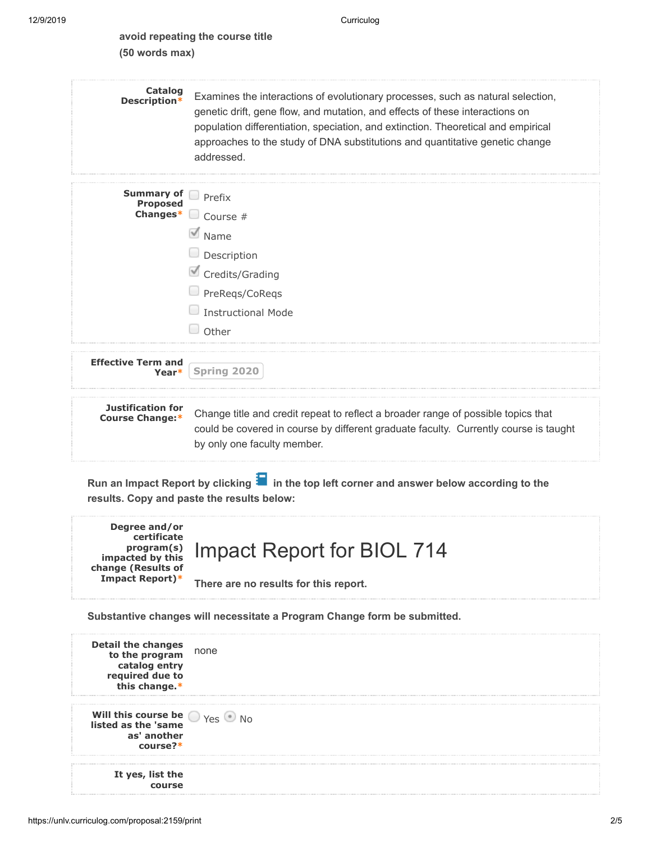#### **avoid repeating the course title (50 words max)**

| Catalog<br>Description*                            | Examines the interactions of evolutionary processes, such as natural selection,<br>genetic drift, gene flow, and mutation, and effects of these interactions on<br>population differentiation, speciation, and extinction. Theoretical and empirical<br>approaches to the study of DNA substitutions and quantitative genetic change<br>addressed. |
|----------------------------------------------------|----------------------------------------------------------------------------------------------------------------------------------------------------------------------------------------------------------------------------------------------------------------------------------------------------------------------------------------------------|
| <b>Summary of</b><br><b>Proposed</b><br>Changes*   | Prefix<br>u<br>Course #<br>$\blacksquare$ Name<br>$\Box$ Description<br>Credits/Grading<br>PreRegs/CoRegs<br><b>Instructional Mode</b><br>Other                                                                                                                                                                                                    |
| <b>Effective Term and</b><br>Year*                 | Spring 2020                                                                                                                                                                                                                                                                                                                                        |
| <b>Justification for</b><br><b>Course Change:*</b> | Change title and credit repeat to reflect a broader range of possible topics that<br>could be covered in course by different graduate faculty. Currently course is taught<br>by only one faculty member.                                                                                                                                           |

Run an Impact Report by clicking **in** the top left corner and answer below according to the **results. Copy and paste the results below:**



**Substantive changes will necessitate a Program Change form be submitted.**

**Detail the changes to the program catalog entry required due to this change.\*** none **Will this course be**  $\bigcirc$  <sub>Yes</sub>  $\bigcirc$  <sub>No</sub> **listed as the 'same as' another course?\* It yes, list the course**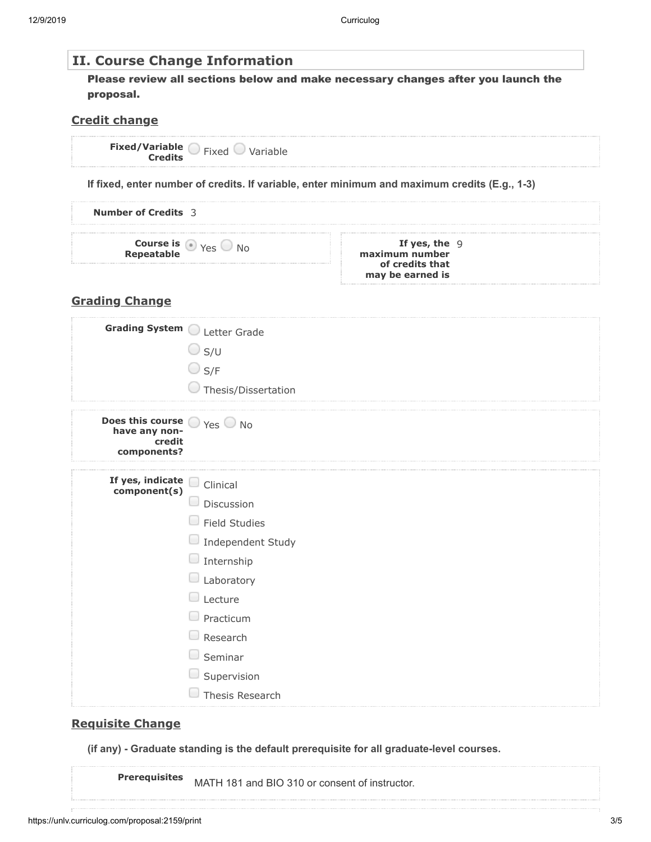| If fixed, enter number of credits. If variable, enter minimum and maximum credits (E.g., 1-3) |                                                                                  |
|-----------------------------------------------------------------------------------------------|----------------------------------------------------------------------------------|
|                                                                                               |                                                                                  |
| If yes, the $9$<br>maximum number<br>of credits that<br>may be earned is                      |                                                                                  |
|                                                                                               | Please review all sections below and make necessary changes after you launch the |

| Grading System Letter Grade                                                                 |                           |
|---------------------------------------------------------------------------------------------|---------------------------|
|                                                                                             | $\bigcirc$ s/u            |
|                                                                                             | $\bigcirc$ S/F            |
|                                                                                             | Thesis/Dissertation       |
| <b>Does this course</b> $\bigcirc$ Yes $\bigcirc$ No have any non-<br>credit<br>components? |                           |
| If yes, indicate<br>component(s)                                                            | U<br>Clinical             |
|                                                                                             | $\Box$<br>Discussion      |
|                                                                                             | O<br><b>Field Studies</b> |
|                                                                                             | Independent Study         |
|                                                                                             | $\Box$ Internship         |
|                                                                                             | $\Box$ Laboratory         |
|                                                                                             | $\Box$ Lecture            |
|                                                                                             | Practicum                 |
|                                                                                             | Research                  |
|                                                                                             | Seminar<br>۰              |
|                                                                                             | $\Box$ Supervision        |
|                                                                                             | Thesis Research           |

## **Requisite Change**

**(if any) - Graduate standing is the default prerequisite for all graduate-level courses.**

**Prerequisites** MATH 181 and BIO 310 or consent of instructor.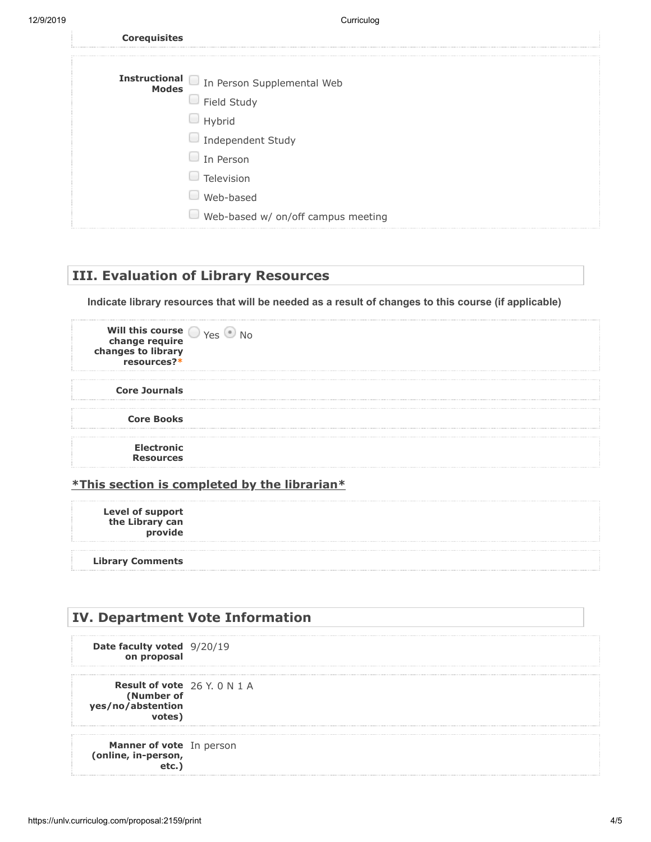12/9/2019 Curriculog

| <b>Corequisites</b> |                                          |
|---------------------|------------------------------------------|
|                     |                                          |
|                     | Instructional In Person Supplemental Web |
|                     | $\Box$ Field Study                       |
|                     | Hybrid                                   |
|                     | Independent Study                        |
|                     | In Person                                |
|                     | Television                               |
|                     | Web-based                                |
|                     | Web-based w/ on/off campus meeting       |

### **III. Evaluation of Library Resources**

**Indicate library resources that will be needed as a result of changes to this course (if applicable)**

| Will this course $\bigcirc$ $\gamma$ es $\circ$<br>change require<br>changes to library<br>resources?* |  |
|--------------------------------------------------------------------------------------------------------|--|
| <b>Core Journals</b>                                                                                   |  |
| <b>Core Books</b>                                                                                      |  |
| <b>Electronic</b><br><b>Resources</b>                                                                  |  |

#### **\*This section is completed by the librarian\***

**Level of support the Library can provide**

**Library Comments**

# **IV. Department Vote Information Date faculty voted** 9/20/19 **on proposal Result of vote** 26 Y. 0 N 1 A **(Number of yes/no/abstention votes) Manner of vote** In person**(online, in-person, etc.)**